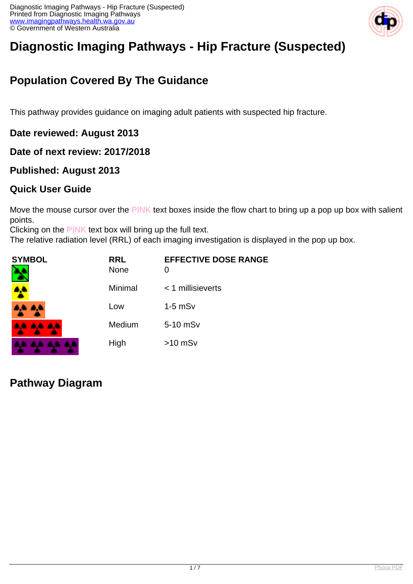

# **Diagnostic Imaging Pathways - Hip Fracture (Suspected)**

## **Population Covered By The Guidance**

This pathway provides guidance on imaging adult patients with suspected hip fracture.

**Date reviewed: August 2013**

**Date of next review: 2017/2018**

## **Published: August 2013**

## **Quick User Guide**

Move the mouse cursor over the PINK text boxes inside the flow chart to bring up a pop up box with salient points.

Clicking on the PINK text box will bring up the full text.

The relative radiation level (RRL) of each imaging investigation is displayed in the pop up box.

| SYMBOL   | <b>RRL</b><br><b>None</b> | <b>EFFECTIVE DOSE RANGE</b> |
|----------|---------------------------|-----------------------------|
| 4        | Minimal                   | $<$ 1 millisieverts         |
| 4,4 4,4  | Low                       | $1-5$ mSv                   |
| AA AA AA | Medium                    | 5-10 mSv                    |
|          | High                      | $>10$ mSv                   |

**Pathway Diagram**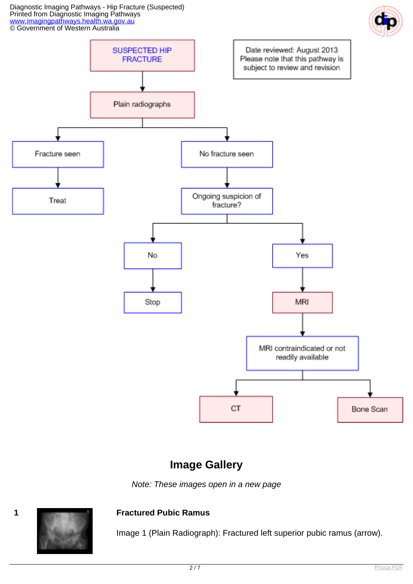Diagnostic Imaging Pathways - Hip Fracture (Suspected) Printed from Diagnostic Imaging Pathways [www.imagingpathways.health.wa.gov.au](http://www.imagingpathways.health.wa.gov.au/) © Government of Western Australia



## **Image Gallery**

Note: These images open in a new page



#### **1 Fractured Pubic Ramus**

Image 1 (Plain Radiograph): Fractured left superior pubic ramus (arrow).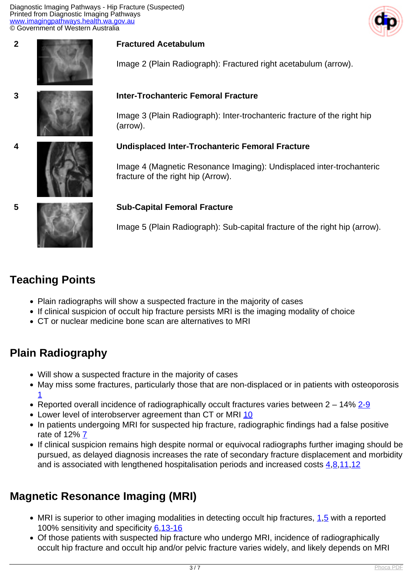Diagnostic Imaging Pathways - Hip Fracture (Suspected) Printed from Diagnostic Imaging Pathways [www.imagingpathways.health.wa.gov.au](http://www.imagingpathways.health.wa.gov.au/) © Government of Western Australia





#### **2 Fractured Acetabulum**

Image 2 (Plain Radiograph): Fractured right acetabulum (arrow).

#### **3 Inter-Trochanteric Femoral Fracture**

Image 3 (Plain Radiograph): Inter-trochanteric fracture of the right hip (arrow).

#### **4 Undisplaced Inter-Trochanteric Femoral Fracture**

Image 4 (Magnetic Resonance Imaging): Undisplaced inter-trochanteric fracture of the right hip (Arrow).

#### **5 Sub-Capital Femoral Fracture**

Image 5 (Plain Radiograph): Sub-capital fracture of the right hip (arrow).

## **Teaching Points**

- Plain radiographs will show a suspected fracture in the majority of cases
- If clinical suspicion of occult hip fracture persists MRI is the imaging modality of choice
- CT or nuclear medicine bone scan are alternatives to MRI

## **Plain Radiography**

- Will show a suspected fracture in the majority of cases
- May miss some fractures, particularly those that are non-displaced or in patients with osteoporosis [1](index.php/imaging-pathways/musculoskeletal-trauma/bone-and-joint-trauma/suspected-hip-fracture?tab=References#1)
- Reported overall incidence of radiographically occult fractures varies between  $2 14\%$   $2-9$
- Lower level of interobserver agreement than CT or MRI [10](index.php/imaging-pathways/musculoskeletal-trauma/bone-and-joint-trauma/suspected-hip-fracture?tab=References#10)
- In patients undergoing MRI for suspected hip fracture, radiographic findings had a false positive rate of 12% $Z$
- If clinical suspicion remains high despite normal or equivocal radiographs further imaging should be pursued, as delayed diagnosis increases the rate of secondary fracture displacement and morbidity and is associated with lengthened hospitalisation periods and increased costs  $4,8,11,12$  $4,8,11,12$  $4,8,11,12$  $4,8,11,12$  $4,8,11,12$  $4,8,11,12$

## **Magnetic Resonance Imaging (MRI)**

- $\bullet$  MRI is superior to other imaging modalities in detecting occult hip fractures,  $1.5$  with a reported 100% sensitivity and specificity [6](index.php/imaging-pathways/musculoskeletal-trauma/bone-and-joint-trauma/suspected-hip-fracture?tab=References#6)[,13-16](index.php/imaging-pathways/musculoskeletal-trauma/bone-and-joint-trauma/suspected-hip-fracture?tab=References#13)
- Of those patients with suspected hip fracture who undergo MRI, incidence of radiographically occult hip fracture and occult hip and/or pelvic fracture varies widely, and likely depends on MRI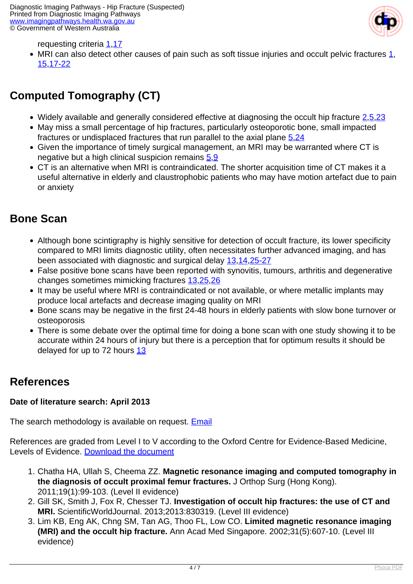

#### requesting criteria [1,](index.php/imaging-pathways/musculoskeletal-trauma/bone-and-joint-trauma/suspected-hip-fracture?tab=References#1)[17](index.php/imaging-pathways/musculoskeletal-trauma/bone-and-joint-trauma/suspected-hip-fracture?tab=References#17)

• MRI can also detect other causes of pain such as soft tissue injuries and occult pelvic fractures  $1$ , [15,](index.php/imaging-pathways/musculoskeletal-trauma/bone-and-joint-trauma/suspected-hip-fracture?tab=References#15)[17-22](index.php/imaging-pathways/musculoskeletal-trauma/bone-and-joint-trauma/suspected-hip-fracture?tab=References#17)

## **Computed Tomography (CT)**

- Widely available and generally considered effective at diagnosing the occult hip fracture  $2,5,23$  $2,5,23$  $2,5,23$
- May miss a small percentage of hip fractures, particularly osteoporotic bone, small impacted fractures or undisplaced fractures that run parallel to the axial plane [5](index.php/imaging-pathways/musculoskeletal-trauma/bone-and-joint-trauma/suspected-hip-fracture?tab=References#5),[24](index.php/imaging-pathways/musculoskeletal-trauma/bone-and-joint-trauma/suspected-hip-fracture?tab=References#24)
- Given the importance of timely surgical management, an MRI may be warranted where CT is negative but a high clinical suspicion remains  $5.9$  $5.9$  $5.9$
- CT is an alternative when MRI is contraindicated. The shorter acquisition time of CT makes it a useful alternative in elderly and claustrophobic patients who may have motion artefact due to pain or anxiety

## **Bone Scan**

- Although bone scintigraphy is highly sensitive for detection of occult fracture, its lower specificity compared to MRI limits diagnostic utility, often necessitates further advanced imaging, and has been associated with diagnostic and surgical delay [13](index.php/imaging-pathways/musculoskeletal-trauma/bone-and-joint-trauma/suspected-hip-fracture?tab=References#13),[14](index.php/imaging-pathways/musculoskeletal-trauma/bone-and-joint-trauma/suspected-hip-fracture?tab=References#14)[,25-27](index.php/imaging-pathways/musculoskeletal-trauma/bone-and-joint-trauma/suspected-hip-fracture?tab=References#25)
- False positive bone scans have been reported with synovitis, tumours, arthritis and degenerative changes sometimes mimicking fractures [13](index.php/imaging-pathways/musculoskeletal-trauma/bone-and-joint-trauma/suspected-hip-fracture?tab=References#13),[25](index.php/imaging-pathways/musculoskeletal-trauma/bone-and-joint-trauma/suspected-hip-fracture?tab=References#25)[,26](index.php/imaging-pathways/musculoskeletal-trauma/bone-and-joint-trauma/suspected-hip-fracture?tab=References#26)
- It may be useful where MRI is contraindicated or not available, or where metallic implants may produce local artefacts and decrease imaging quality on MRI
- Bone scans may be negative in the first 24-48 hours in elderly patients with slow bone turnover or osteoporosis
- There is some debate over the optimal time for doing a bone scan with one study showing it to be accurate within 24 hours of injury but there is a perception that for optimum results it should be delayed for up to 72 hours [13](index.php/imaging-pathways/musculoskeletal-trauma/bone-and-joint-trauma/suspected-hip-fracture?tab=References#13)

## **References**

#### **Date of literature search: April 2013**

The search methodology is available on request. [Email](index.php/contact-us)

References are graded from Level I to V according to the Oxford Centre for Evidence-Based Medicine, Levels of Evidence. [Download the document](http://www.cebm.net/wp-content/uploads/2014/06/CEBM-Levels-of-Evidence-2.1.pdf)

- 1. Chatha HA, Ullah S, Cheema ZZ. **Magnetic resonance imaging and computed tomography in the diagnosis of occult proximal femur fractures.** J Orthop Surg (Hong Kong). 2011;19(1):99-103. (Level II evidence)
- 2. Gill SK, Smith J, Fox R, Chesser TJ. **Investigation of occult hip fractures: the use of CT and MRI.** ScientificWorldJournal. 2013;2013:830319. (Level III evidence)
- 3. Lim KB, Eng AK, Chng SM, Tan AG, Thoo FL, Low CO. **Limited magnetic resonance imaging (MRI) and the occult hip fracture.** Ann Acad Med Singapore. 2002;31(5):607-10. (Level III evidence)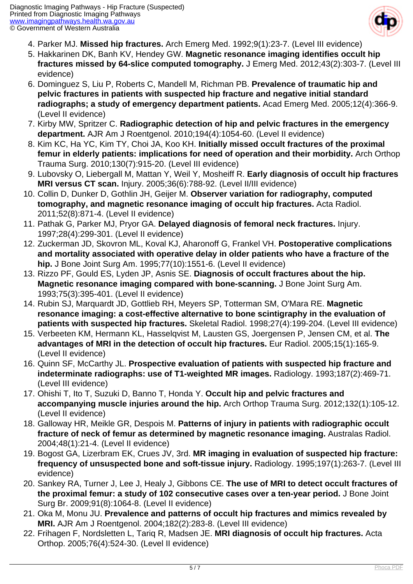

- 4. Parker MJ. **Missed hip fractures.** Arch Emerg Med. 1992;9(1):23-7. (Level III evidence)
- 5. Hakkarinen DK, Banh KV, Hendey GW. **Magnetic resonance imaging identifies occult hip fractures missed by 64-slice computed tomography.** J Emerg Med. 2012;43(2):303-7. (Level III evidence)
- 6. Dominguez S, Liu P, Roberts C, Mandell M, Richman PB. **Prevalence of traumatic hip and pelvic fractures in patients with suspected hip fracture and negative initial standard radiographs; a study of emergency department patients.** Acad Emerg Med. 2005;12(4):366-9. (Level II evidence)
- 7. Kirby MW, Spritzer C. **Radiographic detection of hip and pelvic fractures in the emergency department.** AJR Am J Roentgenol. 2010;194(4):1054-60. (Level II evidence)
- 8. Kim KC, Ha YC, Kim TY, Choi JA, Koo KH. **Initially missed occult fractures of the proximal femur in elderly patients: implications for need of operation and their morbidity.** Arch Orthop Trauma Surg. 2010;130(7):915-20. (Level III evidence)
- 9. Lubovsky O, Liebergall M, Mattan Y, Weil Y, Mosheiff R. **Early diagnosis of occult hip fractures MRI versus CT scan.** Injury. 2005;36(6):788-92. (Level II/III evidence)
- 10. Collin D, Dunker D, Gothlin JH, Geijer M. **Observer variation for radiography, computed tomography, and magnetic resonance imaging of occult hip fractures.** Acta Radiol. 2011;52(8):871-4. (Level II evidence)
- 11. Pathak G, Parker MJ, Pryor GA. **Delayed diagnosis of femoral neck fractures.** Injury. 1997;28(4):299-301. (Level II evidence)
- 12. Zuckerman JD, Skovron ML, Koval KJ, Aharonoff G, Frankel VH. **Postoperative complications and mortality associated with operative delay in older patients who have a fracture of the hip.** J Bone Joint Surg Am. 1995;77(10):1551-6. (Level II evidence)
- 13. Rizzo PF, Gould ES, Lyden JP, Asnis SE. **Diagnosis of occult fractures about the hip. Magnetic resonance imaging compared with bone-scanning.** J Bone Joint Surg Am. 1993;75(3):395-401. (Level II evidence)
- 14. Rubin SJ, Marquardt JD, Gottlieb RH, Meyers SP, Totterman SM, O'Mara RE. **Magnetic resonance imaging: a cost-effective alternative to bone scintigraphy in the evaluation of patients with suspected hip fractures.** Skeletal Radiol. 1998;27(4):199-204. (Level III evidence)
- 15. Verbeeten KM, Hermann KL, Hasselqvist M, Lausten GS, Joergensen P, Jensen CM, et al. **The advantages of MRI in the detection of occult hip fractures.** Eur Radiol. 2005;15(1):165-9. (Level II evidence)
- 16. Quinn SF, McCarthy JL. **Prospective evaluation of patients with suspected hip fracture and indeterminate radiographs: use of T1-weighted MR images.** Radiology. 1993;187(2):469-71. (Level III evidence)
- 17. Ohishi T, Ito T, Suzuki D, Banno T, Honda Y. **Occult hip and pelvic fractures and accompanying muscle injuries around the hip.** Arch Orthop Trauma Surg. 2012;132(1):105-12. (Level II evidence)
- 18. Galloway HR, Meikle GR, Despois M. **Patterns of injury in patients with radiographic occult fracture of neck of femur as determined by magnetic resonance imaging.** Australas Radiol. 2004;48(1):21-4. (Level II evidence)
- 19. Bogost GA, Lizerbram EK, Crues JV, 3rd. **MR imaging in evaluation of suspected hip fracture: frequency of unsuspected bone and soft-tissue injury.** Radiology. 1995;197(1):263-7. (Level III evidence)
- 20. Sankey RA, Turner J, Lee J, Healy J, Gibbons CE. **The use of MRI to detect occult fractures of the proximal femur: a study of 102 consecutive cases over a ten-year period.** J Bone Joint Surg Br. 2009;91(8):1064-8. (Level II evidence)
- 21. Oka M, Monu JU. **Prevalence and patterns of occult hip fractures and mimics revealed by MRI.** AJR Am J Roentgenol. 2004;182(2):283-8. (Level III evidence)
- 22. Frihagen F, Nordsletten L, Tariq R, Madsen JE. **MRI diagnosis of occult hip fractures.** Acta Orthop. 2005;76(4):524-30. (Level II evidence)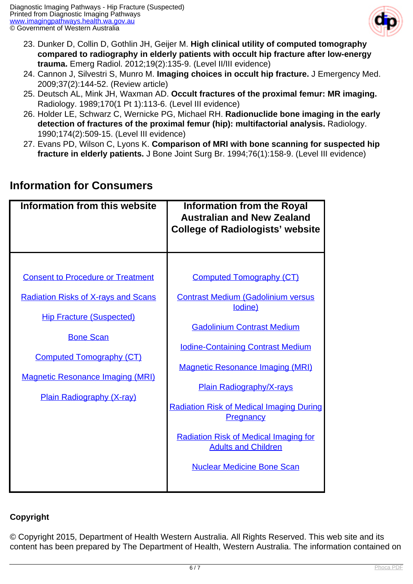

- 23. Dunker D, Collin D, Gothlin JH, Geijer M. **High clinical utility of computed tomography compared to radiography in elderly patients with occult hip fracture after low-energy trauma.** Emerg Radiol. 2012;19(2):135-9. (Level II/III evidence)
- 24. Cannon J, Silvestri S, Munro M. **Imaging choices in occult hip fracture.** J Emergency Med. 2009;37(2):144-52. (Review article)
- 25. Deutsch AL, Mink JH, Waxman AD. **Occult fractures of the proximal femur: MR imaging.** Radiology. 1989;170(1 Pt 1):113-6. (Level III evidence)
- 26. Holder LE, Schwarz C, Wernicke PG, Michael RH. **Radionuclide bone imaging in the early detection of fractures of the proximal femur (hip): multifactorial analysis.** Radiology. 1990;174(2):509-15. (Level III evidence)
- 27. Evans PD, Wilson C, Lyons K. **Comparison of MRI with bone scanning for suspected hip fracture in elderly patients.** J Bone Joint Surg Br. 1994;76(1):158-9. (Level III evidence)

| Information from this website                                                                                                                                                                                                                                   | <b>Information from the Royal</b><br><b>Australian and New Zealand</b><br><b>College of Radiologists' website</b>                                                                                                                                                                                                                                                                                    |
|-----------------------------------------------------------------------------------------------------------------------------------------------------------------------------------------------------------------------------------------------------------------|------------------------------------------------------------------------------------------------------------------------------------------------------------------------------------------------------------------------------------------------------------------------------------------------------------------------------------------------------------------------------------------------------|
| <b>Consent to Procedure or Treatment</b><br><b>Radiation Risks of X-rays and Scans</b><br><b>Hip Fracture (Suspected)</b><br><b>Bone Scan</b><br><b>Computed Tomography (CT)</b><br><b>Magnetic Resonance Imaging (MRI)</b><br><b>Plain Radiography (X-ray)</b> | <b>Computed Tomography (CT)</b><br><b>Contrast Medium (Gadolinium versus</b><br>lodine)<br><b>Gadolinium Contrast Medium</b><br><b>Iodine-Containing Contrast Medium</b><br><b>Magnetic Resonance Imaging (MRI)</b><br><b>Plain Radiography/X-rays</b><br><b>Radiation Risk of Medical Imaging During</b><br>Pregnancy<br><b>Radiation Risk of Medical Imaging for</b><br><b>Adults and Children</b> |
|                                                                                                                                                                                                                                                                 | <b>Nuclear Medicine Bone Scan</b>                                                                                                                                                                                                                                                                                                                                                                    |

## **Information for Consumers**

#### **Copyright**

© Copyright 2015, Department of Health Western Australia. All Rights Reserved. This web site and its content has been prepared by The Department of Health, Western Australia. The information contained on